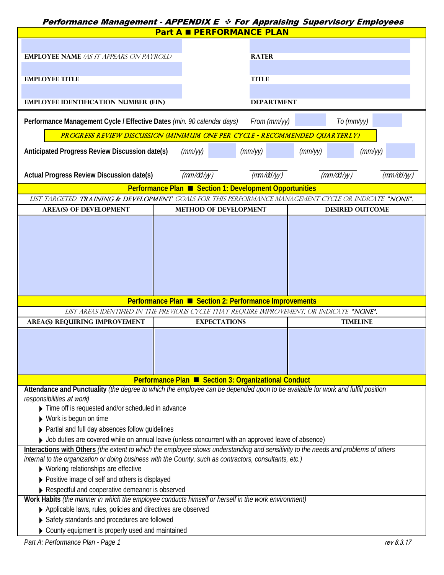| Performance Management - APPENDIX E ☆ For Appraising Supervisory Employees                                                         |                                                                                           |                   |                        |           |
|------------------------------------------------------------------------------------------------------------------------------------|-------------------------------------------------------------------------------------------|-------------------|------------------------|-----------|
|                                                                                                                                    | <b>Part A PERFORMANCE PLAN</b>                                                            |                   |                        |           |
|                                                                                                                                    |                                                                                           |                   |                        |           |
| <b>EMPLOYEE NAME</b> (AS IT APPEARS ON PAYROLL)                                                                                    |                                                                                           | <b>RATER</b>      |                        |           |
|                                                                                                                                    |                                                                                           |                   |                        |           |
| <b>EMPLOYEE TITLE</b>                                                                                                              |                                                                                           | <b>TITLE</b>      |                        |           |
|                                                                                                                                    |                                                                                           |                   |                        |           |
|                                                                                                                                    |                                                                                           |                   |                        |           |
| <b>EMPLOYEE IDENTIFICATION NUMBER (EIN)</b>                                                                                        |                                                                                           | <b>DEPARTMENT</b> |                        |           |
| Performance Management Cycle / Effective Dates (min. 90 calendar days)                                                             |                                                                                           | From (mm/yy)      | To (mm/yy)             |           |
|                                                                                                                                    |                                                                                           |                   |                        |           |
| PROGRESS REVIEW DISCUSSION (MINIMUM ONE PER CYCLE - RECOMMENDED QUARTERLY)                                                         |                                                                                           |                   |                        |           |
| Anticipated Progress Review Discussion date(s)                                                                                     | (mm/yy)                                                                                   | (mm/yy)           | (mm/yy)                | (mm/yy)   |
|                                                                                                                                    |                                                                                           |                   |                        |           |
|                                                                                                                                    |                                                                                           |                   |                        |           |
| <b>Actual Progress Review Discussion date(s)</b>                                                                                   | $\frac{1}{\frac{1}{2}}$                                                                   | (mm/dd/yy)        | (mm/dd/w)              | (mm/dd/w) |
|                                                                                                                                    | <b>Performance Plan ■ Section 1: Development Opportunities</b>                            |                   |                        |           |
| LIST TARGETED TRAINING & DEVELOPMENT GOALS FOR THIS PERFORMANCE MANAGEMENT CYCLE OR INDICATE "NONE".                               |                                                                                           |                   |                        |           |
| <b>AREA(S) OF DEVELOPMENT</b>                                                                                                      | <b>METHOD OF DEVELOPMENT</b>                                                              |                   | <b>DESIRED OUTCOME</b> |           |
|                                                                                                                                    |                                                                                           |                   |                        |           |
|                                                                                                                                    |                                                                                           |                   |                        |           |
|                                                                                                                                    |                                                                                           |                   |                        |           |
|                                                                                                                                    |                                                                                           |                   |                        |           |
|                                                                                                                                    |                                                                                           |                   |                        |           |
|                                                                                                                                    |                                                                                           |                   |                        |           |
|                                                                                                                                    |                                                                                           |                   |                        |           |
|                                                                                                                                    |                                                                                           |                   |                        |           |
|                                                                                                                                    | Performance Plan ■ Section 2: Performance Improvements                                    |                   |                        |           |
|                                                                                                                                    | LIST AREAS IDENTIFIED IN THE PREVIOUS CYCLE THAT REQUIRE IMPROVEMENT, OR INDICATE "NONE". |                   |                        |           |
| <b>AREA(S) REQUIRING IMPROVEMENT</b>                                                                                               | <b>EXPECTATIONS</b>                                                                       |                   | <b>TIMELINE</b>        |           |
|                                                                                                                                    |                                                                                           |                   |                        |           |
|                                                                                                                                    |                                                                                           |                   |                        |           |
|                                                                                                                                    |                                                                                           |                   |                        |           |
|                                                                                                                                    |                                                                                           |                   |                        |           |
|                                                                                                                                    |                                                                                           |                   |                        |           |
|                                                                                                                                    | Performance Plan ■ Section 3: Organizational Conduct                                      |                   |                        |           |
| Attendance and Punctuality (the degree to which the employee can be depended upon to be available for work and fulfill position    |                                                                                           |                   |                        |           |
| responsibilities at work)                                                                                                          |                                                                                           |                   |                        |           |
| Time off is requested and/or scheduled in advance                                                                                  |                                                                                           |                   |                        |           |
| ▶ Work is begun on time                                                                                                            |                                                                                           |                   |                        |           |
| ▶ Partial and full day absences follow quidelines                                                                                  |                                                                                           |                   |                        |           |
| • Job duties are covered while on annual leave (unless concurrent with an approved leave of absence)                               |                                                                                           |                   |                        |           |
| Interactions with Others (the extent to which the employee shows understanding and sensitivity to the needs and problems of others |                                                                                           |                   |                        |           |
| internal to the organization or doing business with the County, such as contractors, consultants, etc.)                            |                                                                                           |                   |                        |           |
| ▶ Working relationships are effective                                                                                              |                                                                                           |                   |                        |           |
| ▶ Positive image of self and others is displayed                                                                                   |                                                                                           |                   |                        |           |
| Respectful and cooperative demeanor is observed                                                                                    |                                                                                           |                   |                        |           |
| Work Habits (the manner in which the employee conducts himself or herself in the work environment)                                 |                                                                                           |                   |                        |           |
| Applicable laws, rules, policies and directives are observed                                                                       |                                                                                           |                   |                        |           |
| Safety standards and procedures are followed                                                                                       |                                                                                           |                   |                        |           |

County equipment is properly used and maintained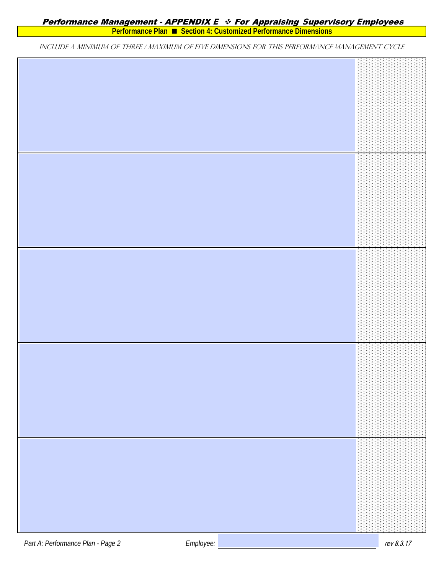## <u>Performance Management - APPENDIX E  $\;$  For Appraising Supervisory Employees</u> **Performance Plan Section 4: Customized Performance Dimensions**

Include a minimum of three / maximum of five dimensions for this performance management cycle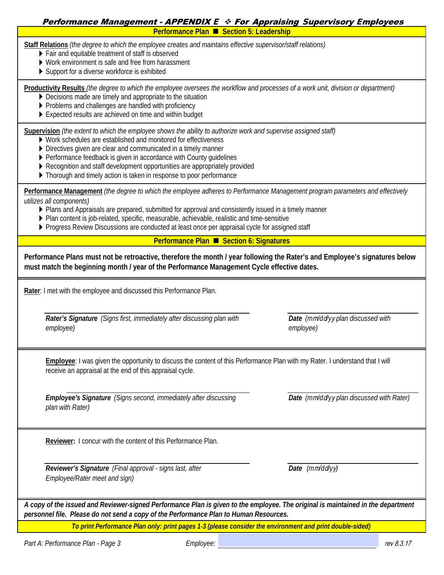## Performance Management - APPENDIX  $E *$  For Appraising Supervisory Employees

**Performance Plan ■ Section 5: Leadership** 

**Staff Relations** *(the degree to which the employee creates and maintains effective supervisor/staff relations)*

- Fair and equitable treatment of staff is observed
- Work environment is safe and free from harassment
- ▶ Support for a diverse workforce is exhibited

**Productivity Results** *(the degree to which the employee oversees the workflow and processes of a work unit, division or department)*

- Decisions made are timely and appropriate to the situation
- Problems and challenges are handled with proficiency
- Expected results are achieved on time and within budget

**Supervision** *(the extent to which the employee shows the ability to authorize work and supervise assigned staff)*

- Work schedules are established and monitored for effectiveness
- Directives given are clear and communicated in a timely manner
- Performance feedback is given in accordance with County guidelines
- Recognition and staff development opportunities are appropriately provided
- Thorough and timely action is taken in response to poor performance

**Performance Management** *(the degree to which the employee adheres to Performance Management program parameters and effectively utilizes all components)*

- Plans and Appraisals are prepared, submitted for approval and consistently issued in a timely manner
- Plan content is job-related, specific, measurable, achievable, realistic and time-sensitive
- Progress Review Discussions are conducted at least once per appraisal cycle for assigned staff

**Performance Plan ■ Section 6: Signatures** 

**Performance Plans must not be retroactive, therefore the month / year following the Rater's and Employee's signatures below must match the beginning month / year of the Performance Management Cycle effective dates.** 

**Rater**: I met with the employee and discussed this Performance Plan.

*Rater's Signature (Signs first, immediately after discussing plan with employee)*

*Date (m*m*/d*d*/y*y *plan discussed with employee)*

**Employee**: I was given the opportunity to discuss the content of this Performance Plan with my Rater. I understand that I will receive an appraisal at the end of this appraisal cycle.

*Employee's Signature (Signs second, immediately after discussing plan with Rater)*

**Reviewer:** I concur with the content of this Performance Plan.

*Reviewer's Signature (Final approval - signs last, after Employee/Rater meet and sign)*

*Date (m*m*/d*d*/y*y *plan discussed with Rater)*

*Date (m*m*/d*d*/y*y*)*

*A copy of the issued and Reviewer-signed Performance Plan is given to the employee. The original is maintained in the department personnel file. Please do not send a copy of the Performance Plan to Human Resources.*

*To print Performance Plan only: print pages 1-3 (please consider the environment and print double-sided)*

**Employee:** *rev 8.3.17*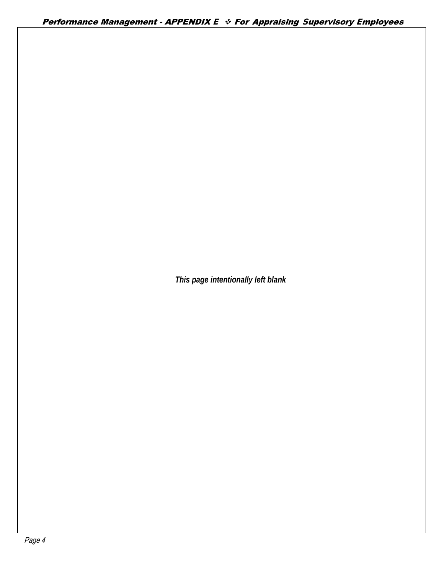*This page intentionally left blank*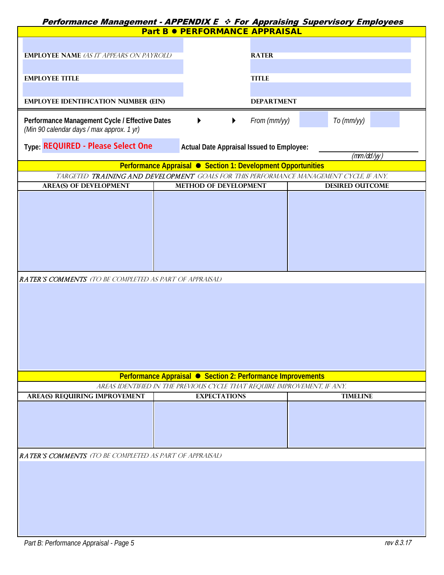|                                                                                             |                                                                          | <b>Performance Management - APPENDIX E <math>\cdot \cdot</math> For Appraising Supervisory Employees</b> |
|---------------------------------------------------------------------------------------------|--------------------------------------------------------------------------|----------------------------------------------------------------------------------------------------------|
|                                                                                             | <b>Part B · PERFORMANCE APPRAISAL</b>                                    |                                                                                                          |
| <b>EMPLOYEE NAME (AS IT APPEARS ON PAYROLL)</b>                                             |                                                                          | <b>RATER</b>                                                                                             |
|                                                                                             |                                                                          |                                                                                                          |
| <b>EMPLOYEE TITLE</b>                                                                       |                                                                          | <b>TITLE</b>                                                                                             |
| <b>EMPLOYEE IDENTIFICATION NUMBER (EIN)</b>                                                 |                                                                          | <b>DEPARTMENT</b>                                                                                        |
|                                                                                             |                                                                          |                                                                                                          |
| Performance Management Cycle / Effective Dates<br>(Min 90 calendar days / max approx. 1 yr) | ▶<br>▶                                                                   | To (mm/yy)<br>From (mm/yy)                                                                               |
| Type: REQUIRED - Please Select One                                                          | Actual Date Appraisal Issued to Employee:                                |                                                                                                          |
|                                                                                             |                                                                          | $\frac{1}{d}$ (mm/dd/yy)                                                                                 |
|                                                                                             | <b>Performance Appraisal ● Section 1: Development Opportunities</b>      | TARGETED TRAINING AND DEVELOPMENT GOALS FOR THIS PERFORMANCE MANAGEMENT CYCLE, IF ANY.                   |
| <b>AREA(S) OF DEVELOPMENT</b>                                                               | METHOD OF DEVELOPMENT                                                    | <b>DESIRED OUTCOME</b>                                                                                   |
|                                                                                             |                                                                          |                                                                                                          |
|                                                                                             |                                                                          |                                                                                                          |
|                                                                                             |                                                                          |                                                                                                          |
|                                                                                             |                                                                          |                                                                                                          |
|                                                                                             |                                                                          |                                                                                                          |
|                                                                                             |                                                                          |                                                                                                          |
|                                                                                             |                                                                          |                                                                                                          |
|                                                                                             |                                                                          |                                                                                                          |
| RATER'S COMMENTS (TO BE COMPLETED AS PART OF APPRAISAL)                                     |                                                                          |                                                                                                          |
|                                                                                             |                                                                          |                                                                                                          |
|                                                                                             |                                                                          |                                                                                                          |
|                                                                                             |                                                                          |                                                                                                          |
|                                                                                             |                                                                          |                                                                                                          |
|                                                                                             |                                                                          |                                                                                                          |
|                                                                                             |                                                                          |                                                                                                          |
|                                                                                             |                                                                          |                                                                                                          |
|                                                                                             |                                                                          |                                                                                                          |
|                                                                                             | Performance Appraisal ● Section 2: Performance Improvements              |                                                                                                          |
|                                                                                             | AREAS IDENTIFIED IN THE PREVIOUS CYCLE THAT REQUIRE IMPROVEMENT, IF ANY. |                                                                                                          |
| <b>AREA(S) REQUIRING IMPROVEMENT</b>                                                        | <b>EXPECTATIONS</b>                                                      | <b>TIMELINE</b>                                                                                          |
|                                                                                             |                                                                          |                                                                                                          |
|                                                                                             |                                                                          |                                                                                                          |
|                                                                                             |                                                                          |                                                                                                          |
|                                                                                             |                                                                          |                                                                                                          |
| RATER'S COMMENTS (TO BE COMPLETED AS PART OF APPRAISAL)                                     |                                                                          |                                                                                                          |
|                                                                                             |                                                                          |                                                                                                          |
|                                                                                             |                                                                          |                                                                                                          |
|                                                                                             |                                                                          |                                                                                                          |
|                                                                                             |                                                                          |                                                                                                          |
|                                                                                             |                                                                          |                                                                                                          |
|                                                                                             |                                                                          |                                                                                                          |
|                                                                                             |                                                                          |                                                                                                          |

П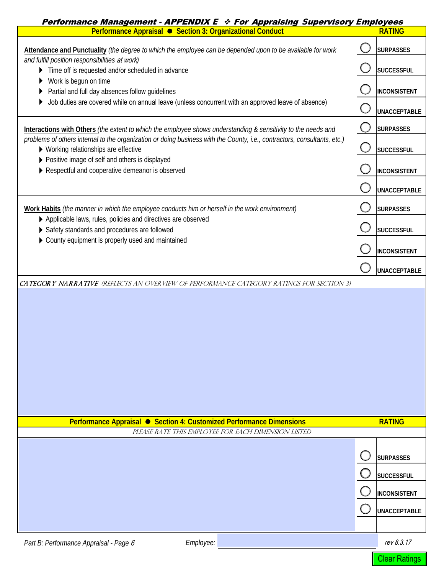| <b>Performance Management - APPENDIX E <math>\cdot \cdot</math> For Appraising Supervisory Employees</b>                                                                                                                                  |                                  |                                    |
|-------------------------------------------------------------------------------------------------------------------------------------------------------------------------------------------------------------------------------------------|----------------------------------|------------------------------------|
| Performance Appraisal ● Section 3: Organizational Conduct                                                                                                                                                                                 |                                  | <b>RATING</b>                      |
| Attendance and Punctuality (the degree to which the employee can be depended upon to be available for work<br>and fulfill position responsibilities at work)                                                                              |                                  | <b>SURPASSES</b>                   |
| Time off is requested and/or scheduled in advance                                                                                                                                                                                         |                                  | <b>SUCCESSFUL</b>                  |
| Work is begun on time<br>Partial and full day absences follow guidelines                                                                                                                                                                  |                                  | <b>INCONSISTENT</b>                |
| Job duties are covered while on annual leave (unless concurrent with an approved leave of absence)                                                                                                                                        | $\begin{array}{ccc} \end{array}$ | <b>UNACCEPTABLE</b>                |
| Interactions with Others (the extent to which the employee shows understanding & sensitivity to the needs and<br>problems of others internal to the organization or doing business with the County, i.e., contractors, consultants, etc.) |                                  | <b>SURPASSES</b>                   |
| ▶ Working relationships are effective                                                                                                                                                                                                     |                                  | <b>SUCCESSFUL</b>                  |
| ▶ Positive image of self and others is displayed<br>Respectful and cooperative demeanor is observed                                                                                                                                       |                                  | <b>INCONSISTENT</b>                |
|                                                                                                                                                                                                                                           |                                  | <b>UNACCEPTABLE</b>                |
| Work Habits (the manner in which the employee conducts him or herself in the work environment)                                                                                                                                            |                                  | <b>SURPASSES</b>                   |
| Applicable laws, rules, policies and directives are observed<br>Safety standards and procedures are followed                                                                                                                              |                                  | <b>SUCCESSFUL</b>                  |
| County equipment is properly used and maintained                                                                                                                                                                                          |                                  | <b>INCONSISTENT</b>                |
|                                                                                                                                                                                                                                           |                                  | <b>UNACCEPTABLE</b>                |
| <b>CATEGORY NARRATIVE</b> (REFLECTS AN OVERVIEW OF PERFORMANCE CATEGORY RATINGS FOR SECTION 3)                                                                                                                                            |                                  |                                    |
|                                                                                                                                                                                                                                           |                                  |                                    |
|                                                                                                                                                                                                                                           |                                  |                                    |
| Performance Appraisal ● Section 4: Customized Performance Dimensions                                                                                                                                                                      |                                  | <b>RATING</b>                      |
| PLEASE RATE THIS EMPLOYEE FOR EACH DIMENSION LISTED                                                                                                                                                                                       |                                  |                                    |
|                                                                                                                                                                                                                                           |                                  | <b>SURPASSES</b>                   |
|                                                                                                                                                                                                                                           |                                  | <b>SUCCESSFUL</b>                  |
|                                                                                                                                                                                                                                           |                                  | <b>INCONSISTENT</b>                |
|                                                                                                                                                                                                                                           |                                  | <b>UNACCEPTABLE</b>                |
|                                                                                                                                                                                                                                           |                                  |                                    |
| Employee:<br>Part B: Performance Appraisal - Page 6                                                                                                                                                                                       |                                  | rev 8.3.17<br><b>Clear Ratings</b> |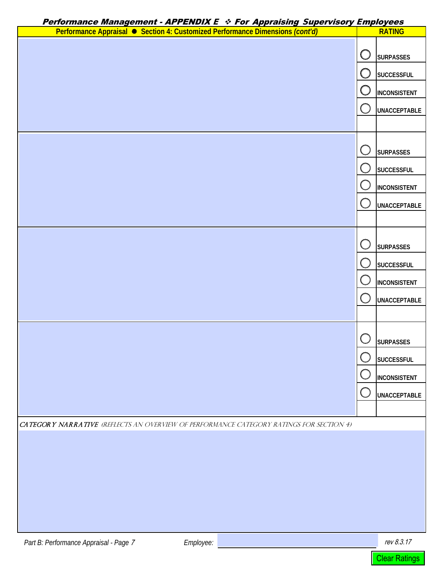| <b>Performance Management - APPENDIX E <math>\cdot \cdot</math> For Appraising Supervisory Employees</b> |                                               |                     |
|----------------------------------------------------------------------------------------------------------|-----------------------------------------------|---------------------|
| Performance Appraisal ● Section 4: Customized Performance Dimensions (cont'd)                            |                                               | <b>RATING</b>       |
|                                                                                                          |                                               |                     |
|                                                                                                          |                                               | <b>SURPASSES</b>    |
|                                                                                                          | $\overline{(\phantom{a})}$                    | <b>SUCCESSFUL</b>   |
|                                                                                                          | $\cup$                                        | <b>INCONSISTENT</b> |
|                                                                                                          | $\bigcirc$                                    | <b>UNACCEPTABLE</b> |
|                                                                                                          |                                               |                     |
|                                                                                                          |                                               |                     |
|                                                                                                          |                                               | <b>SURPASSES</b>    |
|                                                                                                          |                                               | <b>SUCCESSFUL</b>   |
|                                                                                                          | L.                                            | <b>INCONSISTENT</b> |
|                                                                                                          | $\bigcup$                                     | <b>UNACCEPTABLE</b> |
|                                                                                                          |                                               |                     |
|                                                                                                          |                                               |                     |
|                                                                                                          |                                               | <b>SURPASSES</b>    |
|                                                                                                          | L.                                            | <b>SUCCESSFUL</b>   |
|                                                                                                          | J.                                            | <b>INCONSISTENT</b> |
|                                                                                                          | $\left( \begin{array}{c} \end{array} \right)$ | <b>UNACCEPTABLE</b> |
|                                                                                                          |                                               |                     |
|                                                                                                          |                                               |                     |
|                                                                                                          |                                               | <b>SURPASSES</b>    |
|                                                                                                          |                                               | <b>SUCCESSFUL</b>   |
|                                                                                                          |                                               | <b>INCONSISTENT</b> |
|                                                                                                          | - 1                                           | <b>UNACCEPTABLE</b> |
|                                                                                                          |                                               |                     |
| <b>CATEGORY NARRATIVE</b> (REFLECTS AN OVERVIEW OF PERFORMANCE CATEGORY RATINGS FOR SECTION 4)           |                                               |                     |
|                                                                                                          |                                               |                     |
|                                                                                                          |                                               |                     |
|                                                                                                          |                                               |                     |
|                                                                                                          |                                               |                     |
|                                                                                                          |                                               |                     |
|                                                                                                          |                                               |                     |
|                                                                                                          |                                               |                     |
| Part B: Performance Appraisal - Page 7<br>Employee:                                                      |                                               | rev 8.3.17          |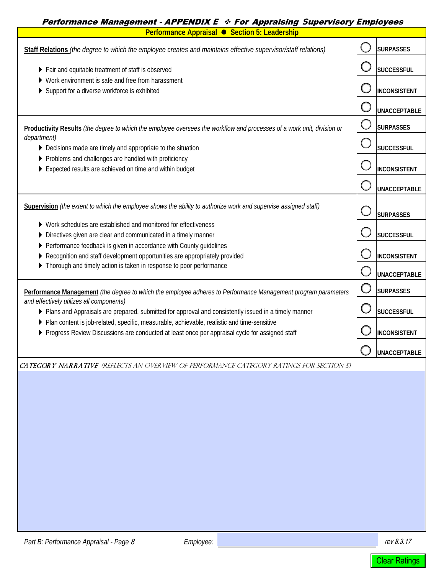| <b>Performance Management - APPENDIX E ☆ For Appraising Supervisory Employees</b> |  |
|-----------------------------------------------------------------------------------|--|
|-----------------------------------------------------------------------------------|--|

| <b>Performance Appraisal ● Section 5: Leade</b> |  |  |  |  |
|-------------------------------------------------|--|--|--|--|
|-------------------------------------------------|--|--|--|--|

| <b>Performance Appraisal ● Section 5: Leadership</b>                                                                                                                                                    |   |                     |
|---------------------------------------------------------------------------------------------------------------------------------------------------------------------------------------------------------|---|---------------------|
| Staff Relations (the degree to which the employee creates and maintains effective supervisor/staff relations)                                                                                           |   | <b>SURPASSES</b>    |
| Fair and equitable treatment of staff is observed                                                                                                                                                       | C | <b>SUCCESSFUL</b>   |
| Work environment is safe and free from harassment<br>Support for a diverse workforce is exhibited                                                                                                       |   | <b>INCONSISTENT</b> |
|                                                                                                                                                                                                         |   | <b>UNACCEPTABLE</b> |
| Productivity Results (the degree to which the employee oversees the workflow and processes of a work unit, division or                                                                                  |   | <b>SURPASSES</b>    |
| department)<br>Decisions made are timely and appropriate to the situation                                                                                                                               |   | <b>SUCCESSFUL</b>   |
| ▶ Problems and challenges are handled with proficiency<br>Expected results are achieved on time and within budget                                                                                       |   | <b>INCONSISTENT</b> |
|                                                                                                                                                                                                         |   | <b>UNACCEPTABLE</b> |
| Supervision (the extent to which the employee shows the ability to authorize work and supervise assigned staff)                                                                                         |   |                     |
| ▶ Work schedules are established and monitored for effectiveness                                                                                                                                        |   | <b>SURPASSES</b>    |
| Directives given are clear and communicated in a timely manner<br>Performance feedback is given in accordance with County guidelines                                                                    |   | <b>SUCCESSFUL</b>   |
| Recognition and staff development opportunities are appropriately provided<br>Thorough and timely action is taken in response to poor performance                                                       |   | <b>INCONSISTENT</b> |
|                                                                                                                                                                                                         |   | <b>UNACCEPTABLE</b> |
| Performance Management (the degree to which the employee adheres to Performance Management program parameters<br>and effectively utilizes all components)                                               |   | <b>SURPASSES</b>    |
| ▶ Plans and Appraisals are prepared, submitted for approval and consistently issued in a timely manner<br>▶ Plan content is job-related, specific, measurable, achievable, realistic and time-sensitive |   | <b>SUCCESSFUL</b>   |
| ▶ Progress Review Discussions are conducted at least once per appraisal cycle for assigned staff                                                                                                        |   | <b>INCONSISTENT</b> |
| <b>CATEGORY NARRATIVE (REFLECTS AN OVERVIEW OF PERFORMANCE CATEGORY RATINGS FOR SECTION 5)</b>                                                                                                          |   | <b>UNACCEPTABLE</b> |
|                                                                                                                                                                                                         |   |                     |
|                                                                                                                                                                                                         |   |                     |
|                                                                                                                                                                                                         |   |                     |
|                                                                                                                                                                                                         |   |                     |
|                                                                                                                                                                                                         |   |                     |
|                                                                                                                                                                                                         |   |                     |
|                                                                                                                                                                                                         |   |                     |
|                                                                                                                                                                                                         |   |                     |

٦